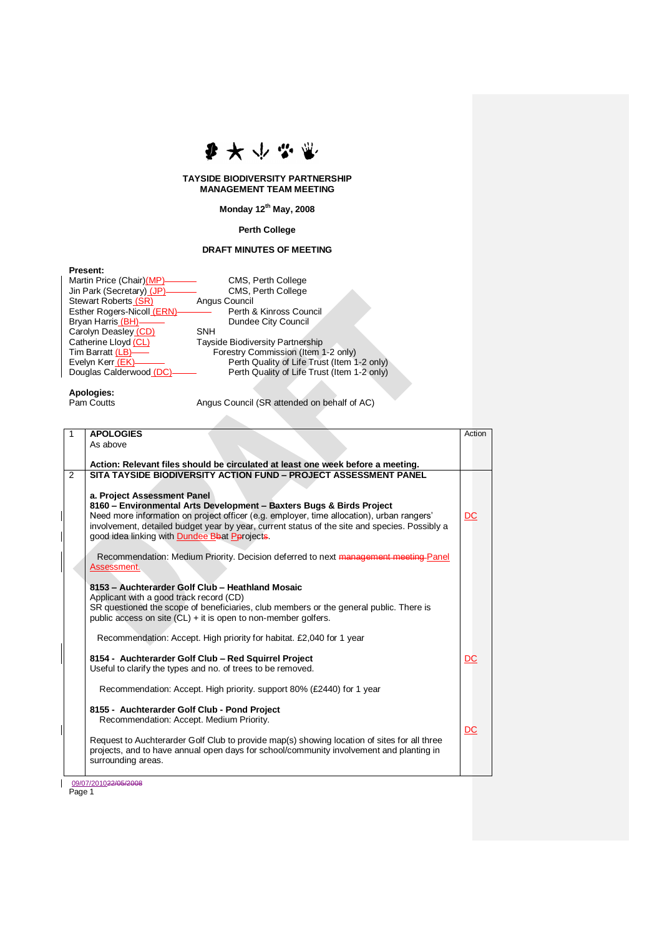

## **TAYSIDE BIODIVERSITY PARTNERSHIP MANAGEMENT TEAM MEETING**

**Monday 12th May, 2008**

## **Perth College**

## **DRAFT MINUTES OF MEETING**

| <b>Present:</b> |  |
|-----------------|--|
|-----------------|--|

| Martin Price (Chair)(MP)-          | CMS, Perth College                          |
|------------------------------------|---------------------------------------------|
| Jin Park (Secretary) (JP)-         | CMS, Perth College                          |
| Stewart Roberts (SR)               | Angus Council                               |
| <b>Esther Rogers-Nicoll (ERN)-</b> | Perth & Kinross Council                     |
| Bryan Harris (BH)——                | Dundee City Council                         |
| Carolyn Deasley (CD)               | <b>SNH</b>                                  |
| Catherine Lloyd (CL)               | <b>Tayside Biodiversity Partnership</b>     |
| Tim Barratt (LB)——                 | Forestry Commission (Item 1-2 only)         |
| Evelyn Kerr (EK)—                  | Perth Quality of Life Trust (Item 1-2 only) |
| Douglas Calderwood (DC)-           | Perth Quality of Life Trust (Item 1-2 only) |
|                                    |                                             |

**Apologies:**

Angus Council (SR attended on behalf of AC)

| 1 | <b>APOLOGIES</b>                                                                                                                                    | Action |
|---|-----------------------------------------------------------------------------------------------------------------------------------------------------|--------|
|   | As above                                                                                                                                            |        |
|   |                                                                                                                                                     |        |
| 2 | Action: Relevant files should be circulated at least one week before a meeting.<br>SITA TAYSIDE BIODIVERSITY ACTION FUND - PROJECT ASSESSMENT PANEL |        |
|   |                                                                                                                                                     |        |
|   | a. Project Assessment Panel                                                                                                                         |        |
|   | 8160 - Environmental Arts Development - Baxters Bugs & Birds Project                                                                                |        |
|   | Need more information on project officer (e.g. employer, time allocation), urban rangers'                                                           | DC     |
|   | involvement, detailed budget year by year, current status of the site and species. Possibly a                                                       |        |
|   | good idea linking with <b>Dundee Bbat Perojects</b> .                                                                                               |        |
|   | Recommendation: Medium Priority. Decision deferred to next management meeting Panel                                                                 |        |
|   | Assessment.                                                                                                                                         |        |
|   |                                                                                                                                                     |        |
|   | 8153 - Auchterarder Golf Club - Heathland Mosaic                                                                                                    |        |
|   | Applicant with a good track record (CD)                                                                                                             |        |
|   | SR questioned the scope of beneficiaries, club members or the general public. There is                                                              |        |
|   | public access on site $(CL) + it$ is open to non-member golfers.                                                                                    |        |
|   | Recommendation: Accept. High priority for habitat. £2,040 for 1 year                                                                                |        |
|   |                                                                                                                                                     |        |
|   | 8154 - Auchterarder Golf Club - Red Squirrel Project                                                                                                | DC     |
|   | Useful to clarify the types and no. of trees to be removed.                                                                                         |        |
|   | Recommendation: Accept. High priority. support 80% (£2440) for 1 year                                                                               |        |
|   |                                                                                                                                                     |        |
|   | 8155 - Auchterarder Golf Club - Pond Project                                                                                                        |        |
|   | Recommendation: Accept. Medium Priority.                                                                                                            |        |
|   | Request to Auchterarder Golf Club to provide map(s) showing location of sites for all three                                                         | DC     |
|   | projects, and to have annual open days for school/community involvement and planting in                                                             |        |
|   | surrounding areas.                                                                                                                                  |        |
|   |                                                                                                                                                     |        |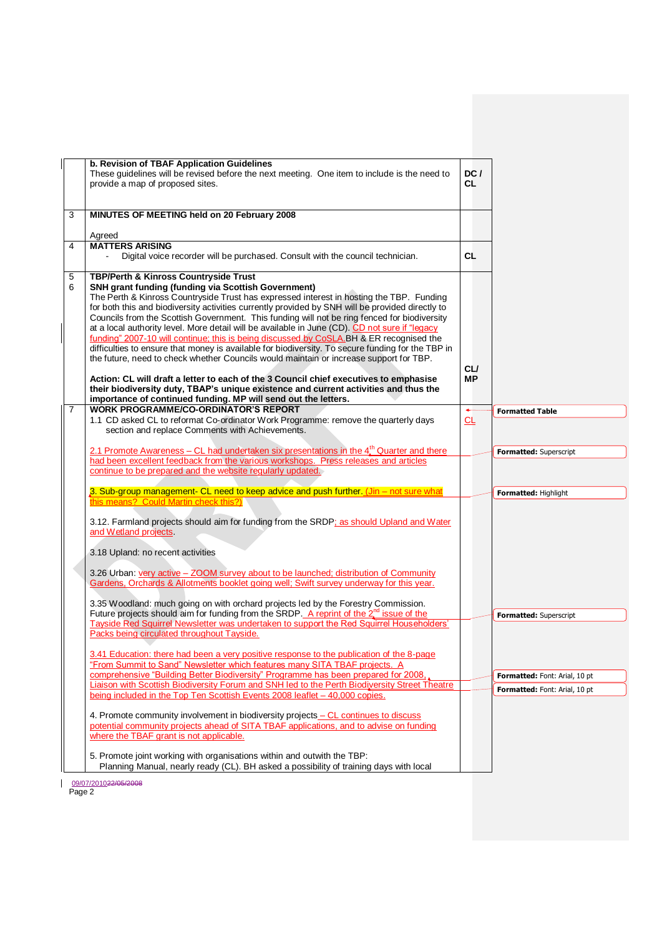|        | b. Revision of TBAF Application Guidelines<br>These guidelines will be revised before the next meeting. One item to include is the need to<br>provide a map of proposed sites.                                                                                                                                                                                                                                                                                                                                                                                                                                                                                                                         | DC/<br><b>CL</b>         |                               |
|--------|--------------------------------------------------------------------------------------------------------------------------------------------------------------------------------------------------------------------------------------------------------------------------------------------------------------------------------------------------------------------------------------------------------------------------------------------------------------------------------------------------------------------------------------------------------------------------------------------------------------------------------------------------------------------------------------------------------|--------------------------|-------------------------------|
| 3      | MINUTES OF MEETING held on 20 February 2008                                                                                                                                                                                                                                                                                                                                                                                                                                                                                                                                                                                                                                                            |                          |                               |
|        | Agreed                                                                                                                                                                                                                                                                                                                                                                                                                                                                                                                                                                                                                                                                                                 |                          |                               |
| 4      | <b>MATTERS ARISING</b><br>Digital voice recorder will be purchased. Consult with the council technician.                                                                                                                                                                                                                                                                                                                                                                                                                                                                                                                                                                                               | <b>CL</b>                |                               |
| 5<br>6 | TBP/Perth & Kinross Countryside Trust<br><b>SNH grant funding (funding via Scottish Government)</b><br>The Perth & Kinross Countryside Trust has expressed interest in hosting the TBP. Funding<br>for both this and biodiversity activities currently provided by SNH will be provided directly to<br>Councils from the Scottish Government. This funding will not be ring fenced for biodiversity<br>at a local authority level. More detail will be available in June (CD). CD not sure if "legacy<br>funding" 2007-10 will continue; this is being discussed by CoSLA. BH & ER recognised the<br>difficulties to ensure that money is available for biodiversity. To secure funding for the TBP in |                          |                               |
|        | the future, need to check whether Councils would maintain or increase support for TBP.<br>Action: CL will draft a letter to each of the 3 Council chief executives to emphasise<br>their biodiversity duty, TBAP's unique existence and current activities and thus the<br>importance of continued funding. MP will send out the letters.                                                                                                                                                                                                                                                                                                                                                              | <b>CL/</b><br>MР         |                               |
|        | <b>WORK PROGRAMME/CO-ORDINATOR'S REPORT</b><br>1.1 CD asked CL to reformat Co-ordinator Work Programme: remove the quarterly days                                                                                                                                                                                                                                                                                                                                                                                                                                                                                                                                                                      | $\overline{\phantom{a}}$ | <b>Formatted Table</b>        |
|        | section and replace Comments with Achievements.                                                                                                                                                                                                                                                                                                                                                                                                                                                                                                                                                                                                                                                        | 뜨                        |                               |
|        | 2.1 Promote Awareness – CL had undertaken six presentations in the 4 <sup>th</sup> Quarter and there                                                                                                                                                                                                                                                                                                                                                                                                                                                                                                                                                                                                   |                          | Formatted: Superscript        |
|        | had been excellent feedback from the various workshops. Press releases and articles                                                                                                                                                                                                                                                                                                                                                                                                                                                                                                                                                                                                                    |                          |                               |
|        | continue to be prepared and the website regularly updated.                                                                                                                                                                                                                                                                                                                                                                                                                                                                                                                                                                                                                                             |                          |                               |
|        | 3. Sub-group management- CL need to keep advice and push further. (Jin - not sure what<br>this means? Could Martin check this?)                                                                                                                                                                                                                                                                                                                                                                                                                                                                                                                                                                        |                          | Formatted: Highlight          |
|        | 3.12. Farmland projects should aim for funding from the SRDP; as should Upland and Water<br>and Wetland projects.                                                                                                                                                                                                                                                                                                                                                                                                                                                                                                                                                                                      |                          |                               |
|        | 3.18 Upland: no recent activities                                                                                                                                                                                                                                                                                                                                                                                                                                                                                                                                                                                                                                                                      |                          |                               |
|        | 3.26 Urban: very active – ZOOM survey about to be launched; distribution of Community<br>Gardens, Orchards & Allotments booklet going well; Swift survey underway for this year.                                                                                                                                                                                                                                                                                                                                                                                                                                                                                                                       |                          |                               |
|        | 3.35 Woodland: much going on with orchard projects led by the Forestry Commission.                                                                                                                                                                                                                                                                                                                                                                                                                                                                                                                                                                                                                     |                          |                               |
|        | Future projects should aim for funding from the SRDP. A reprint of the $2nd$ issue of the<br>Tayside Red Squirrel Newsletter was undertaken to support the Red Squirrel Householders'                                                                                                                                                                                                                                                                                                                                                                                                                                                                                                                  |                          | Formatted: Superscript        |
|        | Packs being circulated throughout Tayside.                                                                                                                                                                                                                                                                                                                                                                                                                                                                                                                                                                                                                                                             |                          |                               |
|        | 3.41 Education: there had been a very positive response to the publication of the 8-page<br>"From Summit to Sand" Newsletter which features many SITA TBAF projects. A                                                                                                                                                                                                                                                                                                                                                                                                                                                                                                                                 |                          |                               |
|        | comprehensive "Building Better Biodiversity" Programme has been prepared for 2008.                                                                                                                                                                                                                                                                                                                                                                                                                                                                                                                                                                                                                     |                          | Formatted: Font: Arial, 10 pt |
|        | Liaison with Scottish Biodiversity Forum and SNH led to the Perth Biodiversity Street Theatre<br>being included in the Top Ten Scottish Events 2008 leaflet - 40,000 copies.                                                                                                                                                                                                                                                                                                                                                                                                                                                                                                                           |                          | Formatted: Font: Arial, 10 pt |
|        | 4. Promote community involvement in biodiversity projects - CL continues to discuss<br>potential community projects ahead of SITA TBAF applications, and to advise on funding<br>where the TBAF grant is not applicable.                                                                                                                                                                                                                                                                                                                                                                                                                                                                               |                          |                               |
|        | 5. Promote joint working with organisations within and outwith the TBP:<br>Planning Manual, nearly ready (CL). BH asked a possibility of training days with local                                                                                                                                                                                                                                                                                                                                                                                                                                                                                                                                      |                          |                               |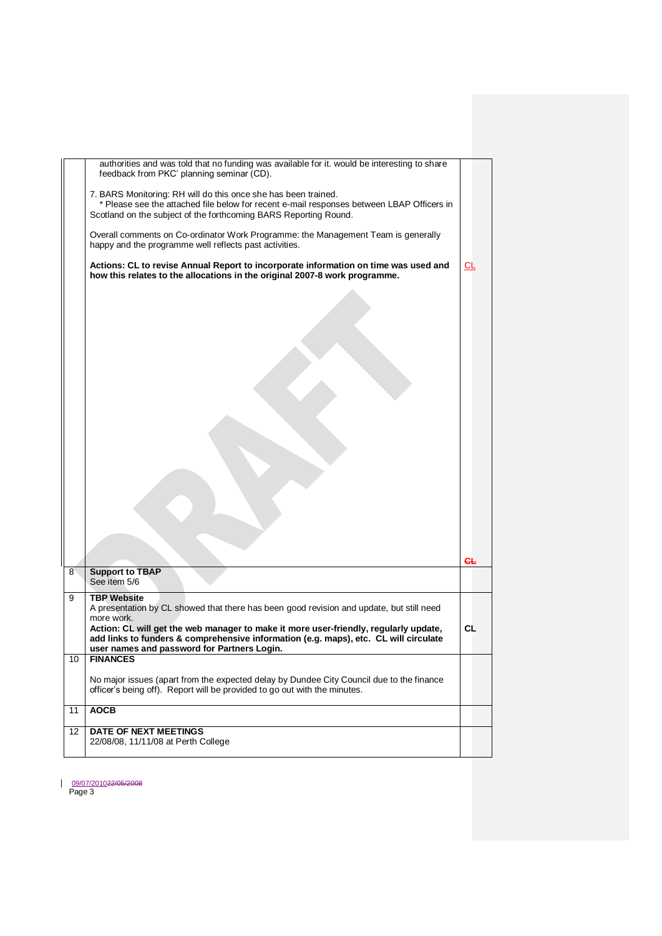|    | authorities and was told that no funding was available for it. would be interesting to share<br>feedback from PKC' planning seminar (CD).                                                                                                 |    |
|----|-------------------------------------------------------------------------------------------------------------------------------------------------------------------------------------------------------------------------------------------|----|
|    | 7. BARS Monitoring: RH will do this once she has been trained.<br>* Please see the attached file below for recent e-mail responses between LBAP Officers in<br>Scotland on the subject of the forthcoming BARS Reporting Round.           |    |
|    | Overall comments on Co-ordinator Work Programme: the Management Team is generally<br>happy and the programme well reflects past activities.                                                                                               |    |
|    | Actions: CL to revise Annual Report to incorporate information on time was used and<br>how this relates to the allocations in the original 2007-8 work programme.                                                                         | СL |
|    |                                                                                                                                                                                                                                           |    |
|    |                                                                                                                                                                                                                                           |    |
|    |                                                                                                                                                                                                                                           |    |
|    |                                                                                                                                                                                                                                           |    |
|    |                                                                                                                                                                                                                                           |    |
|    |                                                                                                                                                                                                                                           |    |
|    |                                                                                                                                                                                                                                           |    |
|    |                                                                                                                                                                                                                                           |    |
|    |                                                                                                                                                                                                                                           |    |
|    |                                                                                                                                                                                                                                           |    |
| 8  | <b>Support to TBAP</b><br>See item 5/6                                                                                                                                                                                                    |    |
| 9  | <b>TBP Website</b><br>A presentation by CL showed that there has been good revision and update, but still need                                                                                                                            |    |
|    | more work.<br>Action: CL will get the web manager to make it more user-friendly, regularly update,<br>add links to funders & comprehensive information (e.g. maps), etc. CL will circulate<br>user names and password for Partners Login. | CL |
| 10 | <b>FINANCES</b>                                                                                                                                                                                                                           |    |
|    | No major issues (apart from the expected delay by Dundee City Council due to the finance<br>officer's being off). Report will be provided to go out with the minutes.                                                                     |    |
| 11 | <b>AOCB</b>                                                                                                                                                                                                                               |    |
| 12 | DATE OF NEXT MEETINGS<br>22/08/08, 11/11/08 at Perth College                                                                                                                                                                              |    |
|    |                                                                                                                                                                                                                                           |    |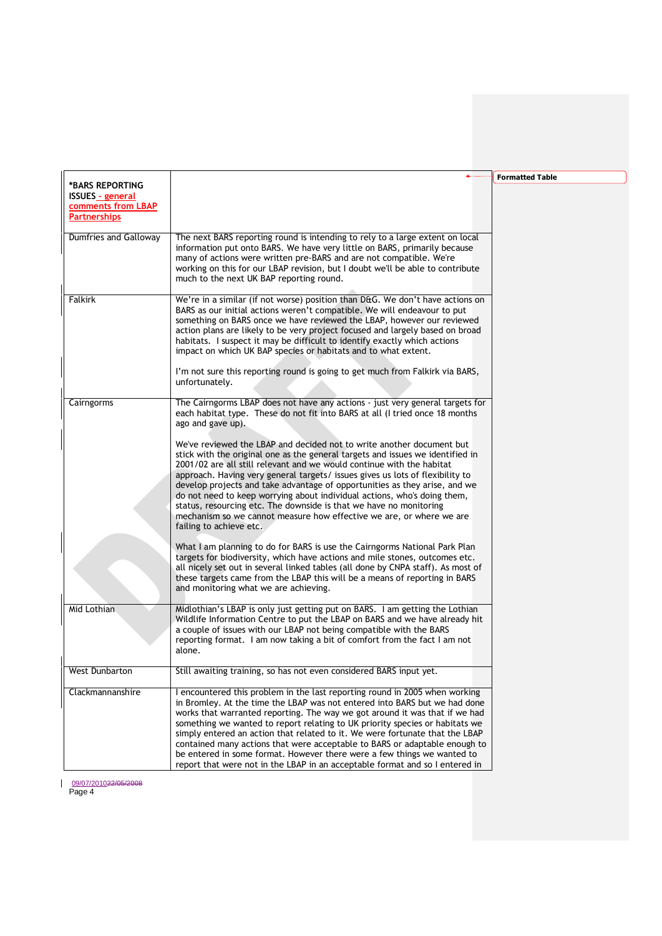|                         |                                                                                                                                                                 | <b>Formatted Table</b> |
|-------------------------|-----------------------------------------------------------------------------------------------------------------------------------------------------------------|------------------------|
| *BARS REPORTING         |                                                                                                                                                                 |                        |
| <b>ISSUES - general</b> |                                                                                                                                                                 |                        |
| comments from LBAP      |                                                                                                                                                                 |                        |
| <b>Partnerships</b>     |                                                                                                                                                                 |                        |
|                         |                                                                                                                                                                 |                        |
| Dumfries and Galloway   | The next BARS reporting round is intending to rely to a large extent on local<br>information put onto BARS. We have very little on BARS, primarily because      |                        |
|                         |                                                                                                                                                                 |                        |
|                         | many of actions were written pre-BARS and are not compatible. We're<br>working on this for our LBAP revision, but I doubt we'll be able to contribute           |                        |
|                         | much to the next UK BAP reporting round.                                                                                                                        |                        |
|                         |                                                                                                                                                                 |                        |
| Falkirk                 | We're in a similar (if not worse) position than D&G. We don't have actions on                                                                                   |                        |
|                         | BARS as our initial actions weren't compatible. We will endeavour to put                                                                                        |                        |
|                         | something on BARS once we have reviewed the LBAP, however our reviewed                                                                                          |                        |
|                         | action plans are likely to be very project focused and largely based on broad                                                                                   |                        |
|                         | habitats. I suspect it may be difficult to identify exactly which actions                                                                                       |                        |
|                         | impact on which UK BAP species or habitats and to what extent.                                                                                                  |                        |
|                         |                                                                                                                                                                 |                        |
|                         | I'm not sure this reporting round is going to get much from Falkirk via BARS,                                                                                   |                        |
|                         | unfortunately.                                                                                                                                                  |                        |
|                         |                                                                                                                                                                 |                        |
| Cairngorms              | The Cairngorms LBAP does not have any actions - just very general targets for                                                                                   |                        |
|                         | each habitat type. These do not fit into BARS at all (I tried once 18 months                                                                                    |                        |
|                         | ago and gave up).                                                                                                                                               |                        |
|                         |                                                                                                                                                                 |                        |
|                         | We've reviewed the LBAP and decided not to write another document but                                                                                           |                        |
|                         | stick with the original one as the general targets and issues we identified in                                                                                  |                        |
|                         | 2001/02 are all still relevant and we would continue with the habitat                                                                                           |                        |
|                         | approach. Having very general targets/ issues gives us lots of flexibility to                                                                                   |                        |
|                         | develop projects and take advantage of opportunities as they arise, and we                                                                                      |                        |
|                         | do not need to keep worrying about individual actions, who's doing them,                                                                                        |                        |
|                         | status, resourcing etc. The downside is that we have no monitoring                                                                                              |                        |
|                         | mechanism so we cannot measure how effective we are, or where we are                                                                                            |                        |
|                         | failing to achieve etc.                                                                                                                                         |                        |
|                         |                                                                                                                                                                 |                        |
|                         | What I am planning to do for BARS is use the Cairngorms National Park Plan                                                                                      |                        |
|                         | targets for biodiversity, which have actions and mile stones, outcomes etc.<br>all nicely set out in several linked tables (all done by CNPA staff). As most of |                        |
|                         | these targets came from the LBAP this will be a means of reporting in BARS                                                                                      |                        |
|                         | and monitoring what we are achieving.                                                                                                                           |                        |
|                         |                                                                                                                                                                 |                        |
| Mid Lothian             | Midlothian's LBAP is only just getting put on BARS. I am getting the Lothian                                                                                    |                        |
|                         | Wildlife Information Centre to put the LBAP on BARS and we have already hit                                                                                     |                        |
|                         | a couple of issues with our LBAP not being compatible with the BARS                                                                                             |                        |
|                         | reporting format. I am now taking a bit of comfort from the fact I am not                                                                                       |                        |
|                         | alone.                                                                                                                                                          |                        |
|                         |                                                                                                                                                                 |                        |
| <b>West Dunbarton</b>   | Still awaiting training, so has not even considered BARS input yet.                                                                                             |                        |
|                         |                                                                                                                                                                 |                        |
| Clackmannanshire        | I encountered this problem in the last reporting round in 2005 when working                                                                                     |                        |
|                         | in Bromley. At the time the LBAP was not entered into BARS but we had done                                                                                      |                        |
|                         | works that warranted reporting. The way we got around it was that if we had                                                                                     |                        |
|                         | something we wanted to report relating to UK priority species or habitats we                                                                                    |                        |
|                         | simply entered an action that related to it. We were fortunate that the LBAP                                                                                    |                        |
|                         | contained many actions that were acceptable to BARS or adaptable enough to                                                                                      |                        |
|                         | be entered in some format. However there were a few things we wanted to                                                                                         |                        |
|                         | report that were not in the LBAP in an acceptable format and so I entered in                                                                                    |                        |

J